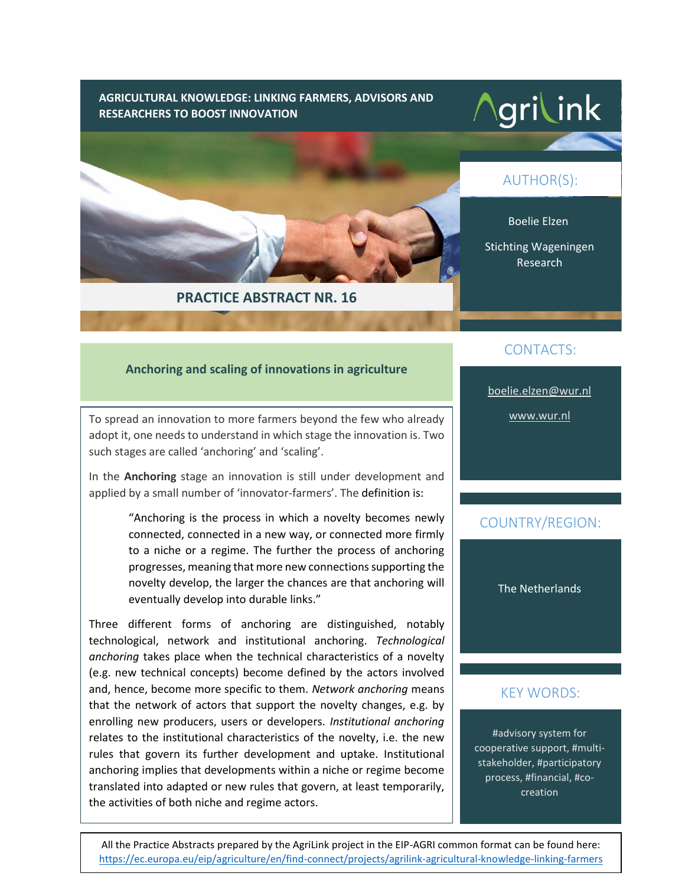**AGRICULTURAL KNOWLEDGE: LINKING FARMERS, ADVISORS AND RESEARCHERS TO BOOST INNOVATION**

# **Agrilink**

Boelie Elzen

AUTHOR(S):

Stichting Wageningen Research



# **PRACTICE ABSTRACT NR. 16**

# CONTACTS:

[boelie.elzen@wur.nl](mailto:boelie.elzen@wur.nl)

[www.wur.nl](http://www.wur.nl/)

# COUNTRY/REGION:

The Netherlands

# KEY WORDS:

#advisory system for cooperative support, #multistakeholder, #participatory process, #financial, #cocreation

# **Anchoring and scaling of innovations in agriculture**

To spread an innovation to more farmers beyond the few who already adopt it, one needs to understand in which stage the innovation is. Two such stages are called 'anchoring' and 'scaling'.

In the **Anchoring** stage an innovation is still under development and applied by a small number of 'innovator-farmers'. The definition is:

> "Anchoring is the process in which a novelty becomes newly connected, connected in a new way, or connected more firmly to a niche or a regime. The further the process of anchoring progresses, meaning that more new connections supporting the novelty develop, the larger the chances are that anchoring will eventually develop into durable links."

Three different forms of anchoring are distinguished, notably technological, network and institutional anchoring. *Technological anchoring* takes place when the technical characteristics of a novelty (e.g. new technical concepts) become defined by the actors involved and, hence, become more specific to them. *Network anchoring* means that the network of actors that support the novelty changes, e.g. by enrolling new producers, users or developers. *Institutional anchoring* relates to the institutional characteristics of the novelty, i.e. the new rules that govern its further development and uptake. Institutional anchoring implies that developments within a niche or regime become translated into adapted or new rules that govern, at least temporarily, the activities of both niche and regime actors.

All the Practice Abstracts prepared by the AgriLink project in the EIP-AGRI common format can be found here: <https://ec.europa.eu/eip/agriculture/en/find-connect/projects/agrilink-agricultural-knowledge-linking-farmers>